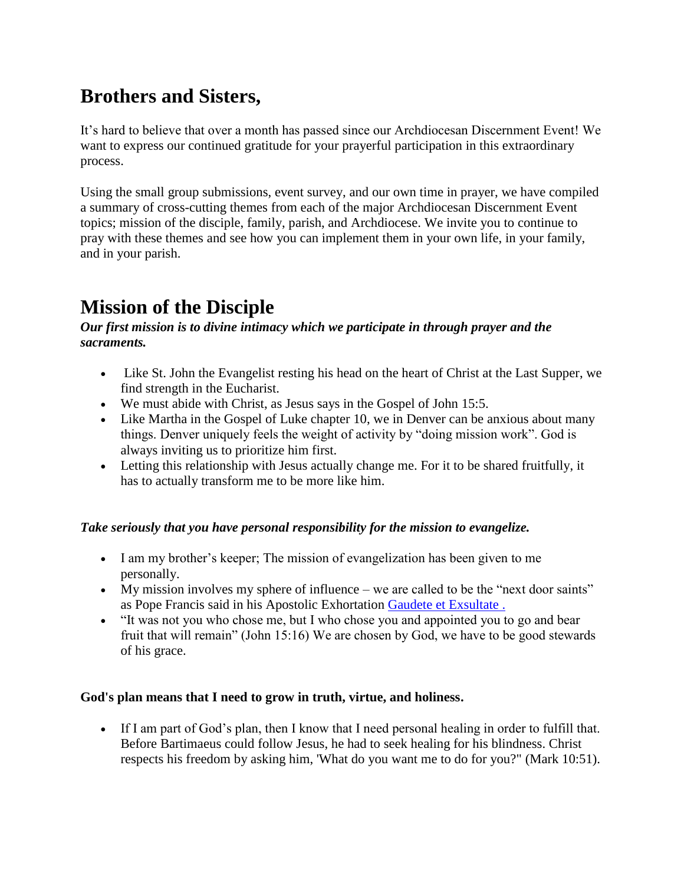# **Brothers and Sisters,**

It's hard to believe that over a month has passed since our Archdiocesan Discernment Event! We want to express our continued gratitude for your prayerful participation in this extraordinary process.

Using the small group submissions, event survey, and our own time in prayer, we have compiled a summary of cross-cutting themes from each of the major Archdiocesan Discernment Event topics; mission of the disciple, family, parish, and Archdiocese. We invite you to continue to pray with these themes and see how you can implement them in your own life, in your family, and in your parish.

## **Mission of the Disciple**

#### *Our first mission is to divine intimacy which we participate in through prayer and the sacraments.*

- Like St. John the Evangelist resting his head on the heart of Christ at the Last Supper, we find strength in the Eucharist.
- We must abide with Christ, as Jesus says in the Gospel of John 15:5.
- Like Martha in the Gospel of Luke chapter 10, we in Denver can be anxious about many things. Denver uniquely feels the weight of activity by "doing mission work". God is always inviting us to prioritize him first.
- Letting this relationship with Jesus actually change me. For it to be shared fruitfully, it has to actually transform me to be more like him.

## *Take seriously that you have personal responsibility for the mission to evangelize.*

- I am my brother's keeper; The mission of evangelization has been given to me personally.
- My mission involves my sphere of influence we are called to be the "next door saints" as Pope Francis said in his Apostolic Exhortation [Gaudete et Exsultate .](https://email-mg.flocknote.com/c/eJw9j8GOgzAMRL8GbkSJA6E5cOge-hsoOKapFhKUhKXar1_3spJlj0bzRrKfRqVh7NvXBBJADkoqKwcwAu1iabTrsowarHVNL9ct4XdMlQSmvQ2TVGSN0b1RpAGMWQbU4EdEhbfBgGq3KdR6lEbfG3jwXNclflx9oYt82cAUK8XKas0uIhVMrCnyckcqdaZ3SLkykmJh0yc8dwY--nCH6_6xmcon-MtB6twxg1Q3qZWdn-70VKmj2tG7nBuXkQh139o8PVwNlMVX8sxh4BddxuApipSff9Y3XOA)
- "It was not you who chose me, but I who chose you and appointed you to go and bear fruit that will remain" (John 15:16) We are chosen by God, we have to be good stewards of his grace.

#### **God's plan means that I need to grow in truth, virtue, and holiness.**

 If I am part of God's plan, then I know that I need personal healing in order to fulfill that. Before Bartimaeus could follow Jesus, he had to seek healing for his blindness. Christ respects his freedom by asking him, 'What do you want me to do for you?" (Mark 10:51).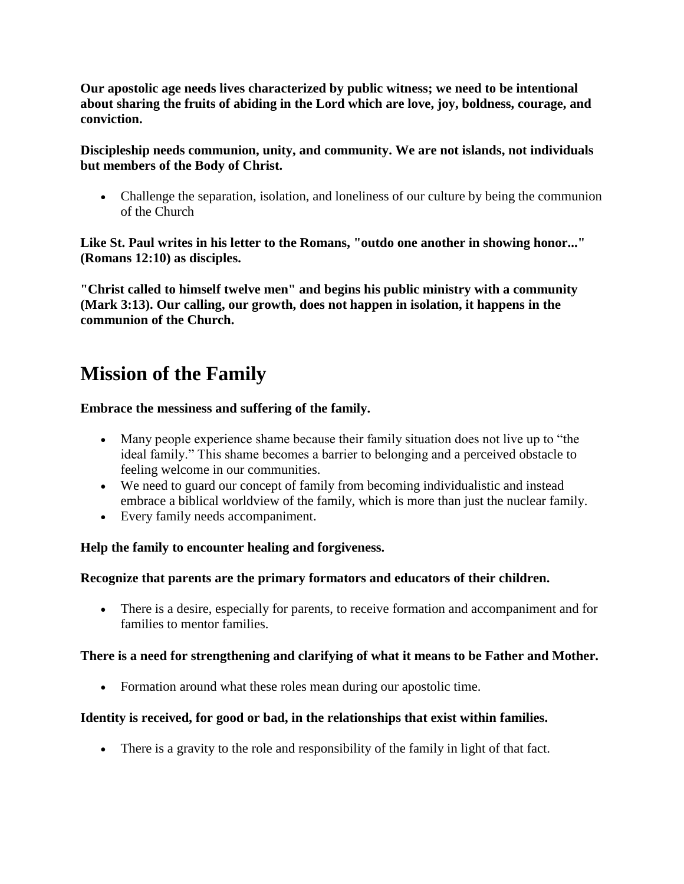**Our apostolic age needs lives characterized by public witness; we need to be intentional about sharing the fruits of abiding in the Lord which are love, joy, boldness, courage, and conviction.**

**Discipleship needs communion, unity, and community. We are not islands, not individuals but members of the Body of Christ.**

 Challenge the separation, isolation, and loneliness of our culture by being the communion of the Church

**Like St. Paul writes in his letter to the Romans, "outdo one another in showing honor..." (Romans 12:10) as disciples.**

**"Christ called to himself twelve men" and begins his public ministry with a community (Mark 3:13). Our calling, our growth, does not happen in isolation, it happens in the communion of the Church.**

## **Mission of the Family**

### **Embrace the messiness and suffering of the family.**

- Many people experience shame because their family situation does not live up to "the ideal family." This shame becomes a barrier to belonging and a perceived obstacle to feeling welcome in our communities.
- We need to guard our concept of family from becoming individualistic and instead embrace a biblical worldview of the family, which is more than just the nuclear family.
- Every family needs accompaniment.

## **Help the family to encounter healing and forgiveness.**

#### **Recognize that parents are the primary formators and educators of their children.**

 There is a desire, especially for parents, to receive formation and accompaniment and for families to mentor families.

#### **There is a need for strengthening and clarifying of what it means to be Father and Mother.**

Formation around what these roles mean during our apostolic time.

## **Identity is received, for good or bad, in the relationships that exist within families.**

There is a gravity to the role and responsibility of the family in light of that fact.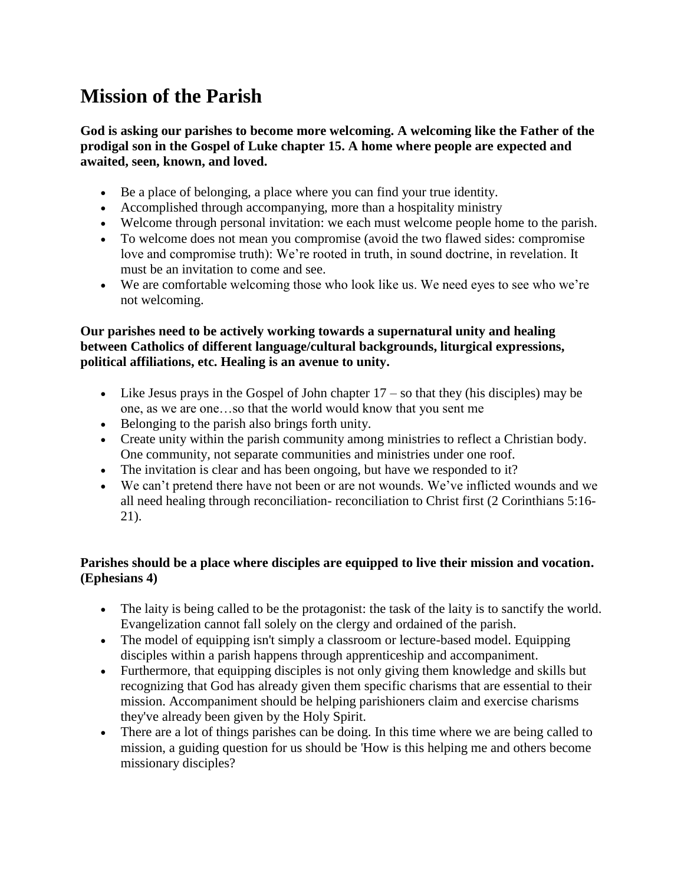# **Mission of the Parish**

**God is asking our parishes to become more welcoming. A welcoming like the Father of the prodigal son in the Gospel of Luke chapter 15. A home where people are expected and awaited, seen, known, and loved.**

- Be a place of belonging, a place where you can find your true identity.
- Accomplished through accompanying, more than a hospitality ministry
- Welcome through personal invitation: we each must welcome people home to the parish.
- To welcome does not mean you compromise (avoid the two flawed sides: compromise love and compromise truth): We're rooted in truth, in sound doctrine, in revelation. It must be an invitation to come and see.
- We are comfortable welcoming those who look like us. We need eyes to see who we're not welcoming.

#### **Our parishes need to be actively working towards a supernatural unity and healing between Catholics of different language/cultural backgrounds, liturgical expressions, political affiliations, etc. Healing is an avenue to unity.**

- Eike Jesus prays in the Gospel of John chapter  $17 -$  so that they (his disciples) may be one, as we are one…so that the world would know that you sent me
- Belonging to the parish also brings forth unity.
- Create unity within the parish community among ministries to reflect a Christian body. One community, not separate communities and ministries under one roof.
- The invitation is clear and has been ongoing, but have we responded to it?
- We can't pretend there have not been or are not wounds. We've inflicted wounds and we all need healing through reconciliation- reconciliation to Christ first (2 Corinthians 5:16- 21).

### **Parishes should be a place where disciples are equipped to live their mission and vocation. (Ephesians 4)**

- The laity is being called to be the protagonist: the task of the laity is to sanctify the world. Evangelization cannot fall solely on the clergy and ordained of the parish.
- The model of equipping isn't simply a classroom or lecture-based model. Equipping disciples within a parish happens through apprenticeship and accompaniment.
- Furthermore, that equipping disciples is not only giving them knowledge and skills but recognizing that God has already given them specific charisms that are essential to their mission. Accompaniment should be helping parishioners claim and exercise charisms they've already been given by the Holy Spirit.
- There are a lot of things parishes can be doing. In this time where we are being called to mission, a guiding question for us should be 'How is this helping me and others become missionary disciples?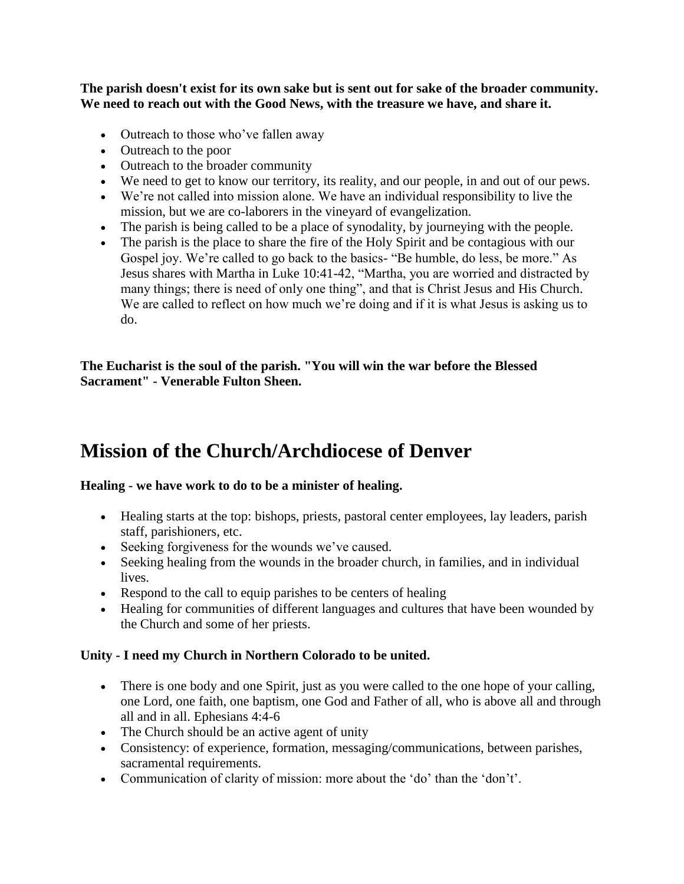**The parish doesn't exist for its own sake but is sent out for sake of the broader community. We need to reach out with the Good News, with the treasure we have, and share it.**

- Outreach to those who've fallen away
- Outreach to the poor
- Outreach to the broader community
- We need to get to know our territory, its reality, and our people, in and out of our pews.
- We're not called into mission alone. We have an individual responsibility to live the mission, but we are co-laborers in the vineyard of evangelization.
- The parish is being called to be a place of synodality, by journeying with the people.
- The parish is the place to share the fire of the Holy Spirit and be contagious with our Gospel joy. We're called to go back to the basics- "Be humble, do less, be more." As Jesus shares with Martha in Luke 10:41-42, "Martha, you are worried and distracted by many things; there is need of only one thing", and that is Christ Jesus and His Church. We are called to reflect on how much we're doing and if it is what Jesus is asking us to do.

**The Eucharist is the soul of the parish. "You will win the war before the Blessed Sacrament" - Venerable Fulton Sheen.**

## **Mission of the Church/Archdiocese of Denver**

#### **Healing - we have work to do to be a minister of healing.**

- Healing starts at the top: bishops, priests, pastoral center employees, lay leaders, parish staff, parishioners, etc.
- Seeking forgiveness for the wounds we've caused.
- Seeking healing from the wounds in the broader church, in families, and in individual lives.
- Respond to the call to equip parishes to be centers of healing
- Healing for communities of different languages and cultures that have been wounded by the Church and some of her priests.

#### **Unity - I need my Church in Northern Colorado to be united.**

- There is one body and one Spirit, just as you were called to the one hope of your calling, one Lord, one faith, one baptism, one God and Father of all, who is above all and through all and in all. Ephesians 4:4-6
- The Church should be an active agent of unity
- Consistency: of experience, formation, messaging/communications, between parishes, sacramental requirements.
- Communication of clarity of mission: more about the 'do' than the 'don't'.